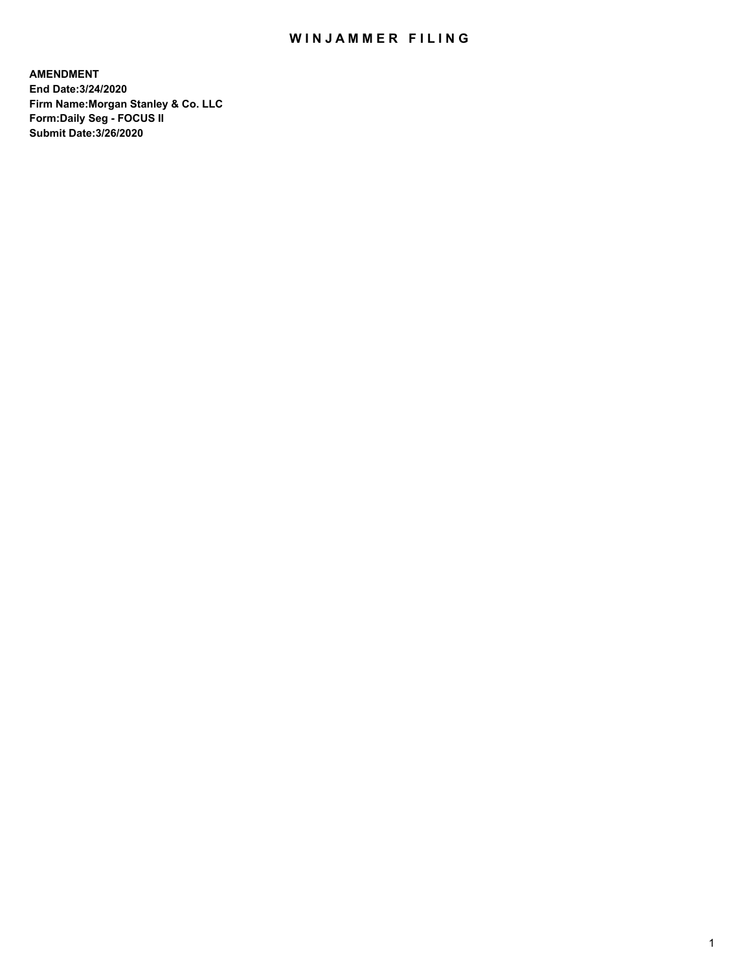## WIN JAMMER FILING

**AMENDMENT End Date:3/24/2020 Firm Name:Morgan Stanley & Co. LLC Form:Daily Seg - FOCUS II Submit Date:3/26/2020**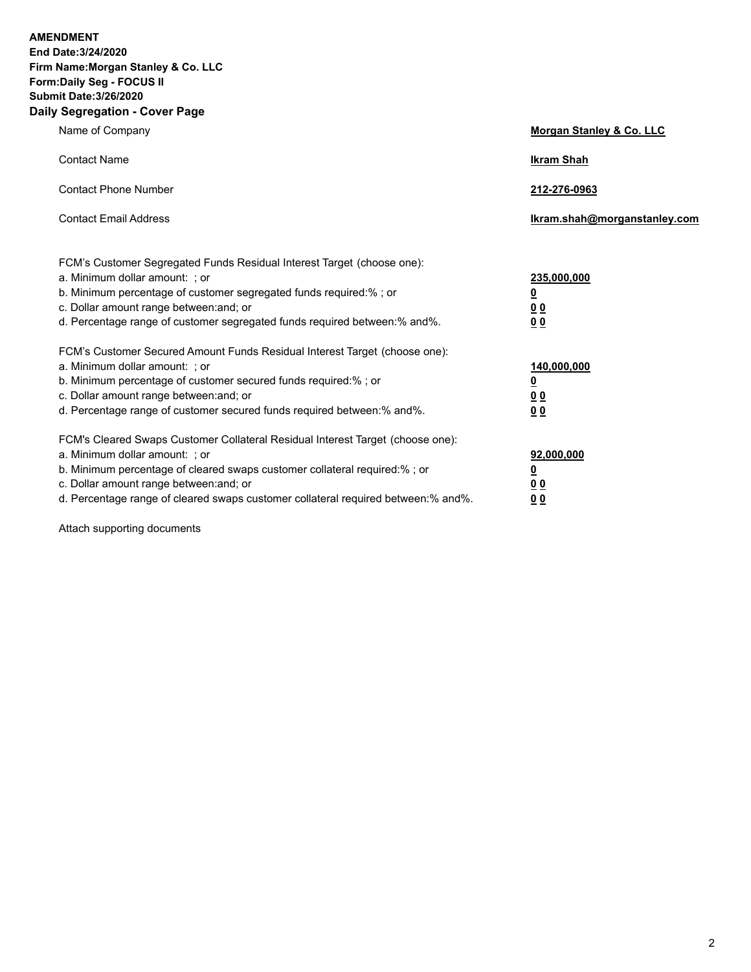**AMENDMENT End Date:3/24/2020 Firm Name:Morgan Stanley & Co. LLC Form:Daily Seg - FOCUS II Submit Date:3/26/2020**

## **Daily Segregation - Cover Page**

| Name of Company                                                                                                                                                                                                                                                                                                                | Morgan Stanley & Co. LLC                                    |
|--------------------------------------------------------------------------------------------------------------------------------------------------------------------------------------------------------------------------------------------------------------------------------------------------------------------------------|-------------------------------------------------------------|
| <b>Contact Name</b>                                                                                                                                                                                                                                                                                                            | <b>Ikram Shah</b>                                           |
| <b>Contact Phone Number</b>                                                                                                                                                                                                                                                                                                    | 212-276-0963                                                |
| <b>Contact Email Address</b>                                                                                                                                                                                                                                                                                                   | Ikram.shah@morganstanley.com                                |
| FCM's Customer Segregated Funds Residual Interest Target (choose one):<br>a. Minimum dollar amount: ; or<br>b. Minimum percentage of customer segregated funds required:% ; or<br>c. Dollar amount range between: and; or<br>d. Percentage range of customer segregated funds required between:% and%.                         | 235,000,000<br><u>0</u><br>0 <sub>0</sub><br>00             |
| FCM's Customer Secured Amount Funds Residual Interest Target (choose one):<br>a. Minimum dollar amount: ; or<br>b. Minimum percentage of customer secured funds required:%; or<br>c. Dollar amount range between: and; or<br>d. Percentage range of customer secured funds required between:% and%.                            | 140,000,000<br><u>0</u><br>0 <sub>0</sub><br>0 <sub>0</sub> |
| FCM's Cleared Swaps Customer Collateral Residual Interest Target (choose one):<br>a. Minimum dollar amount: ; or<br>b. Minimum percentage of cleared swaps customer collateral required:% ; or<br>c. Dollar amount range between: and; or<br>d. Percentage range of cleared swaps customer collateral required between:% and%. | 92,000,000<br><u>0</u><br>0 <sub>0</sub><br>00              |

Attach supporting documents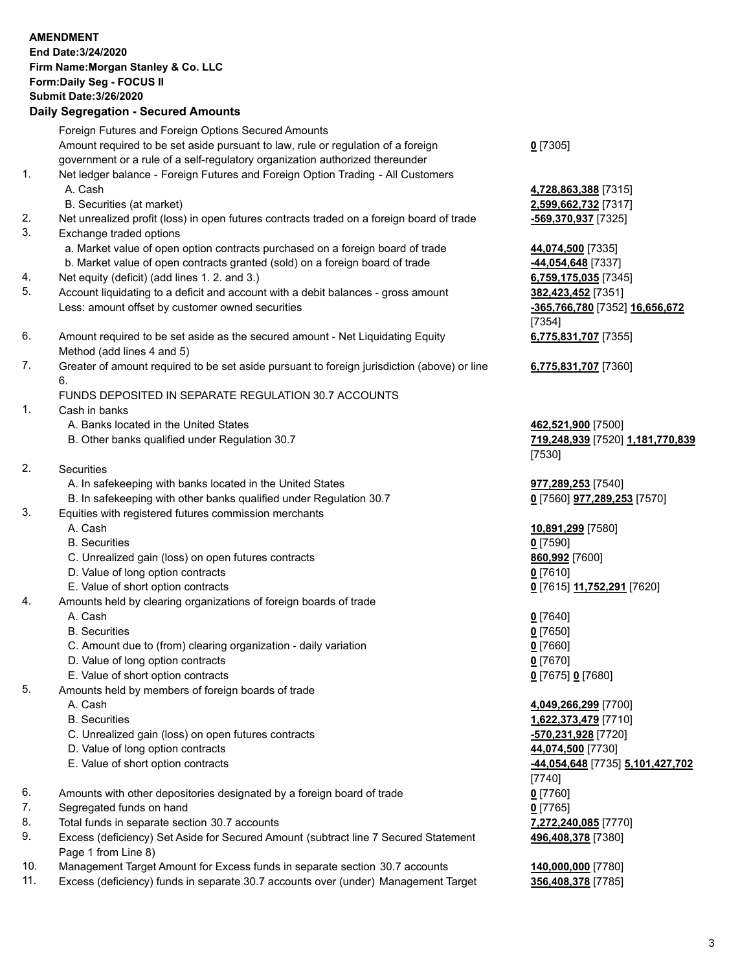|     | <b>AMENDMENT</b><br>End Date: 3/24/2020<br>Firm Name: Morgan Stanley & Co. LLC<br>Form: Daily Seg - FOCUS II<br><b>Submit Date: 3/26/2020</b><br><b>Daily Segregation - Secured Amounts</b> |                                                    |
|-----|---------------------------------------------------------------------------------------------------------------------------------------------------------------------------------------------|----------------------------------------------------|
|     | Foreign Futures and Foreign Options Secured Amounts                                                                                                                                         |                                                    |
| 1.  | Amount required to be set aside pursuant to law, rule or regulation of a foreign<br>government or a rule of a self-regulatory organization authorized thereunder                            | $0$ [7305]                                         |
|     | Net ledger balance - Foreign Futures and Foreign Option Trading - All Customers<br>A. Cash                                                                                                  | 4,728,863,388 [7315]                               |
| 2.  | B. Securities (at market)<br>Net unrealized profit (loss) in open futures contracts traded on a foreign board of trade                                                                      | 2,599,662,732 [7317]<br><u>-569,370,937</u> [7325] |
| 3.  | Exchange traded options                                                                                                                                                                     |                                                    |
|     | a. Market value of open option contracts purchased on a foreign board of trade                                                                                                              | 44,074,500 [7335]                                  |
| 4.  | b. Market value of open contracts granted (sold) on a foreign board of trade<br>Net equity (deficit) (add lines 1.2. and 3.)                                                                | 44,054,648 [7337]<br>6,759,175,035 [7345]          |
| 5.  | Account liquidating to a deficit and account with a debit balances - gross amount                                                                                                           | 382,423,452 [7351]                                 |
|     | Less: amount offset by customer owned securities                                                                                                                                            | -365,766,780 [7352] 16,656,672<br>[7354]           |
| 6.  | Amount required to be set aside as the secured amount - Net Liquidating Equity<br>Method (add lines 4 and 5)                                                                                | 6,775,831,707 [7355]                               |
| 7.  | Greater of amount required to be set aside pursuant to foreign jurisdiction (above) or line<br>6.                                                                                           | 6,775,831,707 [7360]                               |
|     | FUNDS DEPOSITED IN SEPARATE REGULATION 30.7 ACCOUNTS                                                                                                                                        |                                                    |
| 1.  | Cash in banks<br>A. Banks located in the United States                                                                                                                                      | 462,521,900 [7500]                                 |
|     | B. Other banks qualified under Regulation 30.7                                                                                                                                              | 719,248,939 [7520] 1,181,770,839<br>[7530]         |
| 2.  | <b>Securities</b>                                                                                                                                                                           |                                                    |
|     | A. In safekeeping with banks located in the United States                                                                                                                                   | 977,289,253 [7540]                                 |
| 3.  | B. In safekeeping with other banks qualified under Regulation 30.7<br>Equities with registered futures commission merchants                                                                 | 0 [7560] 977,289,253 [7570]                        |
|     | A. Cash<br><b>B.</b> Securities                                                                                                                                                             | 10,891,299 [7580]<br>$0$ [7590]                    |
|     | C. Unrealized gain (loss) on open futures contracts                                                                                                                                         | 860,992 [7600]                                     |
|     | D. Value of long option contracts                                                                                                                                                           | $0$ [7610]                                         |
|     | E. Value of short option contracts                                                                                                                                                          | 0 [7615] 11,752,291 [7620]                         |
| 4.  | Amounts held by clearing organizations of foreign boards of trade                                                                                                                           |                                                    |
|     | A. Cash                                                                                                                                                                                     | $0$ [7640]                                         |
|     | <b>B.</b> Securities                                                                                                                                                                        | $0$ [7650]                                         |
|     | C. Amount due to (from) clearing organization - daily variation<br>D. Value of long option contracts                                                                                        | $0$ [7660]<br>$0$ [7670]                           |
|     | E. Value of short option contracts                                                                                                                                                          | 0 [7675] 0 [7680]                                  |
| 5.  | Amounts held by members of foreign boards of trade                                                                                                                                          |                                                    |
|     | A. Cash                                                                                                                                                                                     | 4,049,266,299 [7700]                               |
|     | <b>B.</b> Securities                                                                                                                                                                        | 1,622,373,479 [7710]                               |
|     | C. Unrealized gain (loss) on open futures contracts                                                                                                                                         | -570,231,928 [7720]                                |
|     | D. Value of long option contracts<br>E. Value of short option contracts                                                                                                                     | 44,074,500 [7730]                                  |
|     |                                                                                                                                                                                             | -44,054,648 [7735] 5,101,427,702<br>[7740]         |
| 6.  | Amounts with other depositories designated by a foreign board of trade                                                                                                                      | $0$ [7760]                                         |
| 7.  | Segregated funds on hand                                                                                                                                                                    | $0$ [7765]                                         |
| 8.  | Total funds in separate section 30.7 accounts                                                                                                                                               | 7,272,240,085 [7770]                               |
| 9.  | Excess (deficiency) Set Aside for Secured Amount (subtract line 7 Secured Statement<br>Page 1 from Line 8)                                                                                  | 496,408,378 [7380]                                 |
| 10. | Management Target Amount for Excess funds in separate section 30.7 accounts                                                                                                                 | 140,000,000 [7780]                                 |
| 11. | Excess (deficiency) funds in separate 30.7 accounts over (under) Management Target                                                                                                          | 356,408,378 [7785]                                 |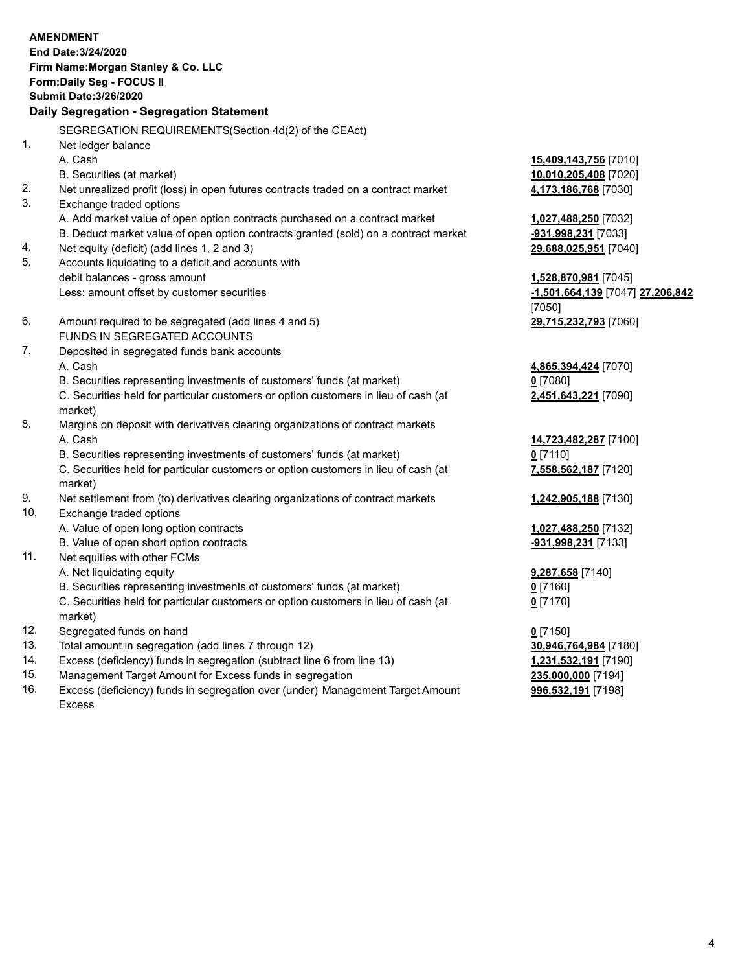|     | <b>AMENDMENT</b>                                                                          |                                  |
|-----|-------------------------------------------------------------------------------------------|----------------------------------|
|     | End Date: 3/24/2020                                                                       |                                  |
|     | Firm Name: Morgan Stanley & Co. LLC                                                       |                                  |
|     | Form: Daily Seg - FOCUS II                                                                |                                  |
|     | <b>Submit Date: 3/26/2020</b>                                                             |                                  |
|     | Daily Segregation - Segregation Statement                                                 |                                  |
|     | SEGREGATION REQUIREMENTS(Section 4d(2) of the CEAct)                                      |                                  |
| 1.  | Net ledger balance                                                                        |                                  |
|     | A. Cash                                                                                   | 15,409,143,756 [7010]            |
|     | B. Securities (at market)                                                                 | 10,010,205,408 [7020]            |
| 2.  | Net unrealized profit (loss) in open futures contracts traded on a contract market        | 4,173,186,768 [7030]             |
| 3.  | Exchange traded options                                                                   |                                  |
|     | A. Add market value of open option contracts purchased on a contract market               | 1,027,488,250 [7032]             |
|     | B. Deduct market value of open option contracts granted (sold) on a contract market       | -931,998,231 [7033]              |
| 4.  | Net equity (deficit) (add lines 1, 2 and 3)                                               | 29,688,025,951 [7040]            |
| 5.  | Accounts liquidating to a deficit and accounts with                                       |                                  |
|     | debit balances - gross amount                                                             | 1,528,870,981 [7045]             |
|     | Less: amount offset by customer securities                                                | -1,501,664,139 [7047] 27,206,842 |
|     |                                                                                           | [7050]                           |
| 6.  | Amount required to be segregated (add lines 4 and 5)                                      | 29,715,232,793 [7060]            |
|     | FUNDS IN SEGREGATED ACCOUNTS                                                              |                                  |
| 7.  | Deposited in segregated funds bank accounts                                               |                                  |
|     | A. Cash                                                                                   | 4,865,394,424 [7070]             |
|     | B. Securities representing investments of customers' funds (at market)                    | $0$ [7080]                       |
|     | C. Securities held for particular customers or option customers in lieu of cash (at       | 2,451,643,221 [7090]             |
| 8.  | market)<br>Margins on deposit with derivatives clearing organizations of contract markets |                                  |
|     | A. Cash                                                                                   | 14,723,482,287 [7100]            |
|     | B. Securities representing investments of customers' funds (at market)                    | $0$ [7110]                       |
|     | C. Securities held for particular customers or option customers in lieu of cash (at       | 7,558,562,187 [7120]             |
|     | market)                                                                                   |                                  |
| 9.  | Net settlement from (to) derivatives clearing organizations of contract markets           | 1,242,905,188 [7130]             |
| 10. | Exchange traded options                                                                   |                                  |
|     | A. Value of open long option contracts                                                    | 1,027,488,250 [7132]             |
|     | B. Value of open short option contracts                                                   | -931,998,231 [7133]              |
| 11. | Net equities with other FCMs                                                              |                                  |
|     | A. Net liquidating equity                                                                 | 9,287,658 [7140]                 |
|     | B. Securities representing investments of customers' funds (at market)                    | $0$ [7160]                       |
|     | C. Securities held for particular customers or option customers in lieu of cash (at       | $0$ [7170]                       |
|     | market)                                                                                   |                                  |
| 12. | Segregated funds on hand                                                                  | $0$ [7150]                       |
| 13. | Total amount in segregation (add lines 7 through 12)                                      | 30,946,764,984 [7180]            |
| 14. | Excess (deficiency) funds in segregation (subtract line 6 from line 13)                   | 1,231,532,191 [7190]             |

- 
- 15. Management Target Amount for Excess funds in segregation<br>16. Excess (deficiency) funds in segregation over (under) Management Target Amount **235,000,000** [7198] Excess (deficiency) funds in segregation over (under) Management Target Amount Excess

**996,532,191** [7198]